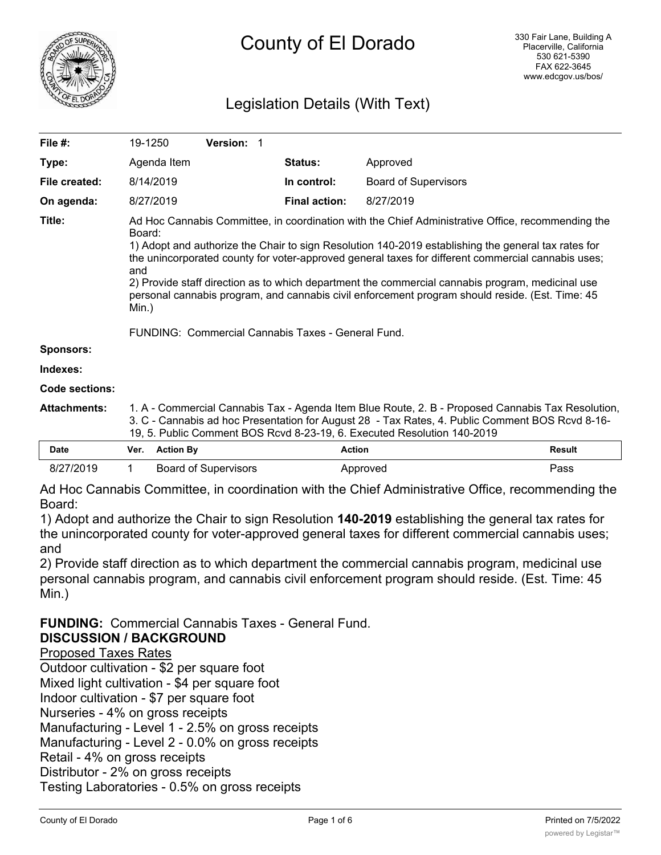

# Legislation Details (With Text)

| File #:               | 19-1250                                                                                                                                                                                                                                                                                                                                                                                                                                                                                                                                                                                               | Version: 1 |                      |                             |  |  |
|-----------------------|-------------------------------------------------------------------------------------------------------------------------------------------------------------------------------------------------------------------------------------------------------------------------------------------------------------------------------------------------------------------------------------------------------------------------------------------------------------------------------------------------------------------------------------------------------------------------------------------------------|------------|----------------------|-----------------------------|--|--|
| Type:                 | Agenda Item                                                                                                                                                                                                                                                                                                                                                                                                                                                                                                                                                                                           |            | Status:              | Approved                    |  |  |
| File created:         | 8/14/2019                                                                                                                                                                                                                                                                                                                                                                                                                                                                                                                                                                                             |            | In control:          | <b>Board of Supervisors</b> |  |  |
| On agenda:            | 8/27/2019                                                                                                                                                                                                                                                                                                                                                                                                                                                                                                                                                                                             |            | <b>Final action:</b> | 8/27/2019                   |  |  |
| Title:                | Ad Hoc Cannabis Committee, in coordination with the Chief Administrative Office, recommending the<br>Board:<br>1) Adopt and authorize the Chair to sign Resolution 140-2019 establishing the general tax rates for<br>the unincorporated county for voter-approved general taxes for different commercial cannabis uses;<br>and<br>2) Provide staff direction as to which department the commercial cannabis program, medicinal use<br>personal cannabis program, and cannabis civil enforcement program should reside. (Est. Time: 45<br>Min.)<br>FUNDING: Commercial Cannabis Taxes - General Fund. |            |                      |                             |  |  |
| <b>Sponsors:</b>      |                                                                                                                                                                                                                                                                                                                                                                                                                                                                                                                                                                                                       |            |                      |                             |  |  |
| Indexes:              |                                                                                                                                                                                                                                                                                                                                                                                                                                                                                                                                                                                                       |            |                      |                             |  |  |
| <b>Code sections:</b> |                                                                                                                                                                                                                                                                                                                                                                                                                                                                                                                                                                                                       |            |                      |                             |  |  |
| <b>Attachments:</b>   | 1. A - Commercial Cannabis Tax - Agenda Item Blue Route, 2. B - Proposed Cannabis Tax Resolution,<br>3. C - Cannabis ad hoc Presentation for August 28 - Tax Rates, 4. Public Comment BOS Rcvd 8-16-<br>19, 5. Public Comment BOS Rcvd 8-23-19, 6. Executed Resolution 140-2019                                                                                                                                                                                                                                                                                                                       |            |                      |                             |  |  |

| Date      | Ver. | <b>Action By</b>            | Action   | <b>Result</b> |
|-----------|------|-----------------------------|----------|---------------|
| 8/27/2019 |      | <b>Board of Supervisors</b> | Approved | ⊃ass          |

Ad Hoc Cannabis Committee, in coordination with the Chief Administrative Office, recommending the Board:

1) Adopt and authorize the Chair to sign Resolution **140-2019** establishing the general tax rates for the unincorporated county for voter-approved general taxes for different commercial cannabis uses; and

2) Provide staff direction as to which department the commercial cannabis program, medicinal use personal cannabis program, and cannabis civil enforcement program should reside. (Est. Time: 45 Min.)

**FUNDING:** Commercial Cannabis Taxes - General Fund. **DISCUSSION / BACKGROUND**

Proposed Taxes Rates

Outdoor cultivation - \$2 per square foot

Mixed light cultivation - \$4 per square foot

Indoor cultivation - \$7 per square foot

Nurseries - 4% on gross receipts

Manufacturing - Level 1 - 2.5% on gross receipts

Manufacturing - Level 2 - 0.0% on gross receipts

Retail - 4% on gross receipts

Distributor - 2% on gross receipts

Testing Laboratories - 0.5% on gross receipts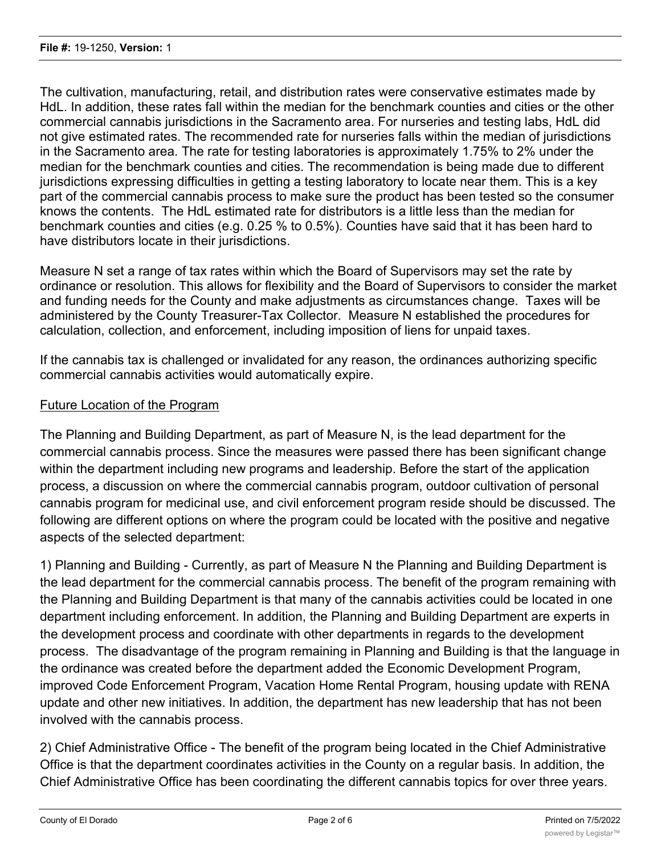The cultivation, manufacturing, retail, and distribution rates were conservative estimates made by HdL. In addition, these rates fall within the median for the benchmark counties and cities or the other commercial cannabis jurisdictions in the Sacramento area. For nurseries and testing labs, HdL did not give estimated rates. The recommended rate for nurseries falls within the median of jurisdictions in the Sacramento area. The rate for testing laboratories is approximately 1.75% to 2% under the median for the benchmark counties and cities. The recommendation is being made due to different jurisdictions expressing difficulties in getting a testing laboratory to locate near them. This is a key part of the commercial cannabis process to make sure the product has been tested so the consumer knows the contents. The HdL estimated rate for distributors is a little less than the median for benchmark counties and cities (e.g. 0.25 % to 0.5%). Counties have said that it has been hard to have distributors locate in their jurisdictions.

Measure N set a range of tax rates within which the Board of Supervisors may set the rate by ordinance or resolution. This allows for flexibility and the Board of Supervisors to consider the market and funding needs for the County and make adjustments as circumstances change. Taxes will be administered by the County Treasurer-Tax Collector. Measure N established the procedures for calculation, collection, and enforcement, including imposition of liens for unpaid taxes.

If the cannabis tax is challenged or invalidated for any reason, the ordinances authorizing specific commercial cannabis activities would automatically expire.

### Future Location of the Program

The Planning and Building Department, as part of Measure N, is the lead department for the commercial cannabis process. Since the measures were passed there has been significant change within the department including new programs and leadership. Before the start of the application process, a discussion on where the commercial cannabis program, outdoor cultivation of personal cannabis program for medicinal use, and civil enforcement program reside should be discussed. The following are different options on where the program could be located with the positive and negative aspects of the selected department:

1) Planning and Building - Currently, as part of Measure N the Planning and Building Department is the lead department for the commercial cannabis process. The benefit of the program remaining with the Planning and Building Department is that many of the cannabis activities could be located in one department including enforcement. In addition, the Planning and Building Department are experts in the development process and coordinate with other departments in regards to the development process. The disadvantage of the program remaining in Planning and Building is that the language in the ordinance was created before the department added the Economic Development Program, improved Code Enforcement Program, Vacation Home Rental Program, housing update with RENA update and other new initiatives. In addition, the department has new leadership that has not been involved with the cannabis process.

2) Chief Administrative Office - The benefit of the program being located in the Chief Administrative Office is that the department coordinates activities in the County on a regular basis. In addition, the Chief Administrative Office has been coordinating the different cannabis topics for over three years.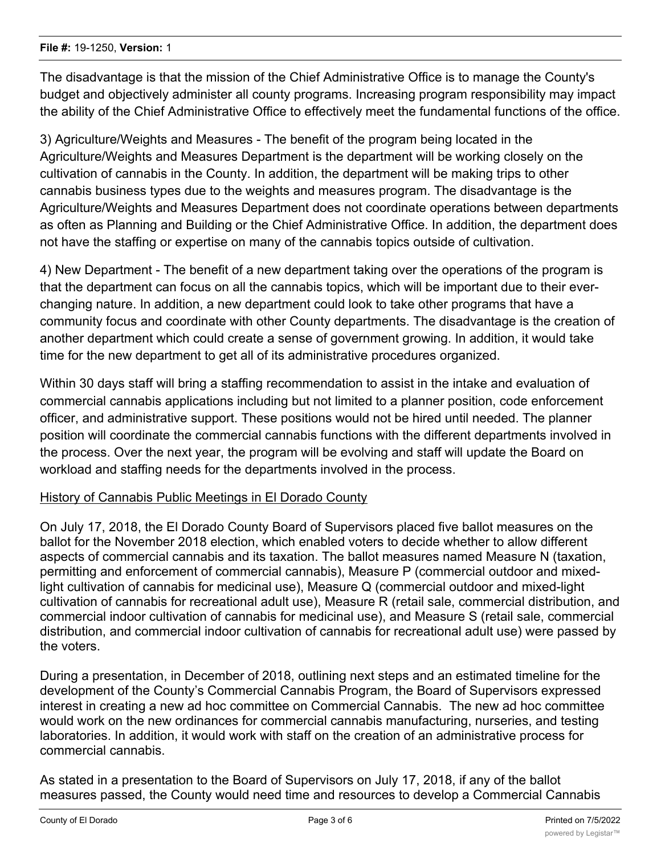The disadvantage is that the mission of the Chief Administrative Office is to manage the County's budget and objectively administer all county programs. Increasing program responsibility may impact the ability of the Chief Administrative Office to effectively meet the fundamental functions of the office.

3) Agriculture/Weights and Measures - The benefit of the program being located in the Agriculture/Weights and Measures Department is the department will be working closely on the cultivation of cannabis in the County. In addition, the department will be making trips to other cannabis business types due to the weights and measures program. The disadvantage is the Agriculture/Weights and Measures Department does not coordinate operations between departments as often as Planning and Building or the Chief Administrative Office. In addition, the department does not have the staffing or expertise on many of the cannabis topics outside of cultivation.

4) New Department - The benefit of a new department taking over the operations of the program is that the department can focus on all the cannabis topics, which will be important due to their everchanging nature. In addition, a new department could look to take other programs that have a community focus and coordinate with other County departments. The disadvantage is the creation of another department which could create a sense of government growing. In addition, it would take time for the new department to get all of its administrative procedures organized.

Within 30 days staff will bring a staffing recommendation to assist in the intake and evaluation of commercial cannabis applications including but not limited to a planner position, code enforcement officer, and administrative support. These positions would not be hired until needed. The planner position will coordinate the commercial cannabis functions with the different departments involved in the process. Over the next year, the program will be evolving and staff will update the Board on workload and staffing needs for the departments involved in the process.

#### History of Cannabis Public Meetings in El Dorado County

On July 17, 2018, the El Dorado County Board of Supervisors placed five ballot measures on the ballot for the November 2018 election, which enabled voters to decide whether to allow different aspects of commercial cannabis and its taxation. The ballot measures named Measure N (taxation, permitting and enforcement of commercial cannabis), Measure P (commercial outdoor and mixedlight cultivation of cannabis for medicinal use), Measure Q (commercial outdoor and mixed-light cultivation of cannabis for recreational adult use), Measure R (retail sale, commercial distribution, and commercial indoor cultivation of cannabis for medicinal use), and Measure S (retail sale, commercial distribution, and commercial indoor cultivation of cannabis for recreational adult use) were passed by the voters.

During a presentation, in December of 2018, outlining next steps and an estimated timeline for the development of the County's Commercial Cannabis Program, the Board of Supervisors expressed interest in creating a new ad hoc committee on Commercial Cannabis. The new ad hoc committee would work on the new ordinances for commercial cannabis manufacturing, nurseries, and testing laboratories. In addition, it would work with staff on the creation of an administrative process for commercial cannabis.

As stated in a presentation to the Board of Supervisors on July 17, 2018, if any of the ballot measures passed, the County would need time and resources to develop a Commercial Cannabis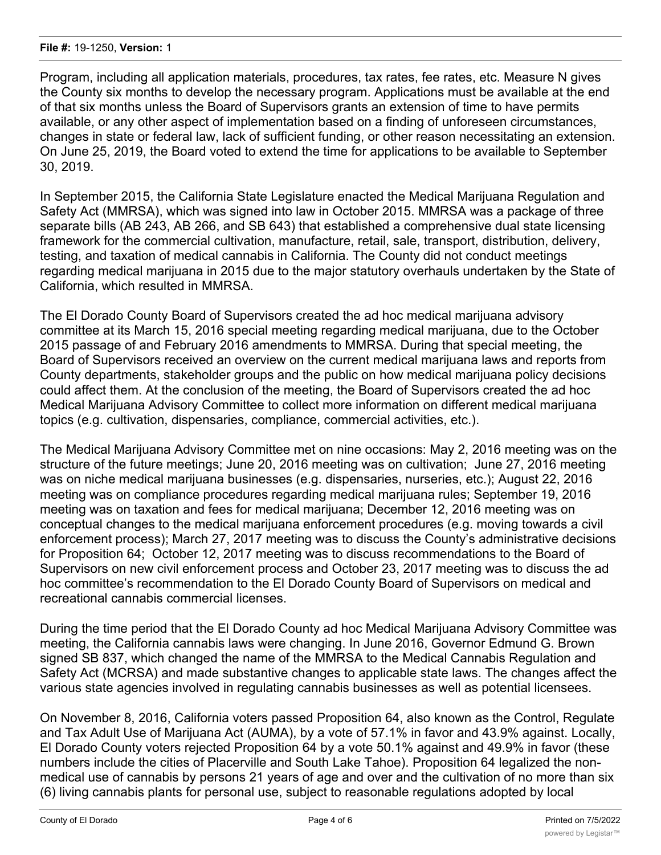Program, including all application materials, procedures, tax rates, fee rates, etc. Measure N gives the County six months to develop the necessary program. Applications must be available at the end of that six months unless the Board of Supervisors grants an extension of time to have permits available, or any other aspect of implementation based on a finding of unforeseen circumstances, changes in state or federal law, lack of sufficient funding, or other reason necessitating an extension. On June 25, 2019, the Board voted to extend the time for applications to be available to September 30, 2019.

In September 2015, the California State Legislature enacted the Medical Marijuana Regulation and Safety Act (MMRSA), which was signed into law in October 2015. MMRSA was a package of three separate bills (AB 243, AB 266, and SB 643) that established a comprehensive dual state licensing framework for the commercial cultivation, manufacture, retail, sale, transport, distribution, delivery, testing, and taxation of medical cannabis in California. The County did not conduct meetings regarding medical marijuana in 2015 due to the major statutory overhauls undertaken by the State of California, which resulted in MMRSA.

The El Dorado County Board of Supervisors created the ad hoc medical marijuana advisory committee at its March 15, 2016 special meeting regarding medical marijuana, due to the October 2015 passage of and February 2016 amendments to MMRSA. During that special meeting, the Board of Supervisors received an overview on the current medical marijuana laws and reports from County departments, stakeholder groups and the public on how medical marijuana policy decisions could affect them. At the conclusion of the meeting, the Board of Supervisors created the ad hoc Medical Marijuana Advisory Committee to collect more information on different medical marijuana topics (e.g. cultivation, dispensaries, compliance, commercial activities, etc.).

The Medical Marijuana Advisory Committee met on nine occasions: May 2, 2016 meeting was on the structure of the future meetings; June 20, 2016 meeting was on cultivation; June 27, 2016 meeting was on niche medical marijuana businesses (e.g. dispensaries, nurseries, etc.); August 22, 2016 meeting was on compliance procedures regarding medical marijuana rules; September 19, 2016 meeting was on taxation and fees for medical marijuana; December 12, 2016 meeting was on conceptual changes to the medical marijuana enforcement procedures (e.g. moving towards a civil enforcement process); March 27, 2017 meeting was to discuss the County's administrative decisions for Proposition 64; October 12, 2017 meeting was to discuss recommendations to the Board of Supervisors on new civil enforcement process and October 23, 2017 meeting was to discuss the ad hoc committee's recommendation to the El Dorado County Board of Supervisors on medical and recreational cannabis commercial licenses.

During the time period that the El Dorado County ad hoc Medical Marijuana Advisory Committee was meeting, the California cannabis laws were changing. In June 2016, Governor Edmund G. Brown signed SB 837, which changed the name of the MMRSA to the Medical Cannabis Regulation and Safety Act (MCRSA) and made substantive changes to applicable state laws. The changes affect the various state agencies involved in regulating cannabis businesses as well as potential licensees.

On November 8, 2016, California voters passed Proposition 64, also known as the Control, Regulate and Tax Adult Use of Marijuana Act (AUMA), by a vote of 57.1% in favor and 43.9% against. Locally, El Dorado County voters rejected Proposition 64 by a vote 50.1% against and 49.9% in favor (these numbers include the cities of Placerville and South Lake Tahoe). Proposition 64 legalized the nonmedical use of cannabis by persons 21 years of age and over and the cultivation of no more than six (6) living cannabis plants for personal use, subject to reasonable regulations adopted by local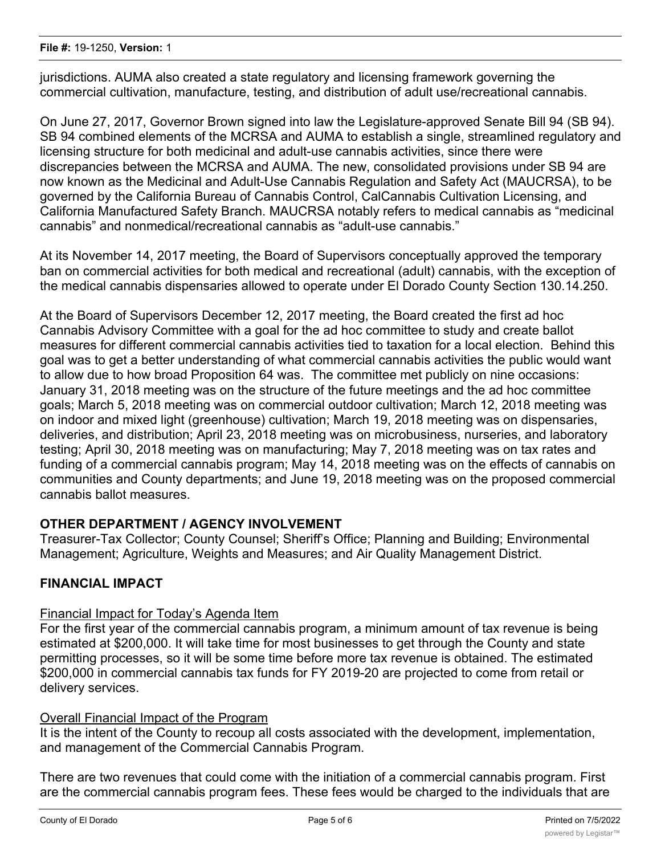jurisdictions. AUMA also created a state regulatory and licensing framework governing the commercial cultivation, manufacture, testing, and distribution of adult use/recreational cannabis.

On June 27, 2017, Governor Brown signed into law the Legislature-approved Senate Bill 94 (SB 94). SB 94 combined elements of the MCRSA and AUMA to establish a single, streamlined regulatory and licensing structure for both medicinal and adult-use cannabis activities, since there were discrepancies between the MCRSA and AUMA. The new, consolidated provisions under SB 94 are now known as the Medicinal and Adult-Use Cannabis Regulation and Safety Act (MAUCRSA), to be governed by the California Bureau of Cannabis Control, CalCannabis Cultivation Licensing, and California Manufactured Safety Branch. MAUCRSA notably refers to medical cannabis as "medicinal cannabis" and nonmedical/recreational cannabis as "adult-use cannabis."

At its November 14, 2017 meeting, the Board of Supervisors conceptually approved the temporary ban on commercial activities for both medical and recreational (adult) cannabis, with the exception of the medical cannabis dispensaries allowed to operate under El Dorado County Section 130.14.250.

At the Board of Supervisors December 12, 2017 meeting, the Board created the first ad hoc Cannabis Advisory Committee with a goal for the ad hoc committee to study and create ballot measures for different commercial cannabis activities tied to taxation for a local election. Behind this goal was to get a better understanding of what commercial cannabis activities the public would want to allow due to how broad Proposition 64 was. The committee met publicly on nine occasions: January 31, 2018 meeting was on the structure of the future meetings and the ad hoc committee goals; March 5, 2018 meeting was on commercial outdoor cultivation; March 12, 2018 meeting was on indoor and mixed light (greenhouse) cultivation; March 19, 2018 meeting was on dispensaries, deliveries, and distribution; April 23, 2018 meeting was on microbusiness, nurseries, and laboratory testing; April 30, 2018 meeting was on manufacturing; May 7, 2018 meeting was on tax rates and funding of a commercial cannabis program; May 14, 2018 meeting was on the effects of cannabis on communities and County departments; and June 19, 2018 meeting was on the proposed commercial cannabis ballot measures.

# **OTHER DEPARTMENT / AGENCY INVOLVEMENT**

Treasurer-Tax Collector; County Counsel; Sheriff's Office; Planning and Building; Environmental Management; Agriculture, Weights and Measures; and Air Quality Management District.

# **FINANCIAL IMPACT**

#### Financial Impact for Today's Agenda Item

For the first year of the commercial cannabis program, a minimum amount of tax revenue is being estimated at \$200,000. It will take time for most businesses to get through the County and state permitting processes, so it will be some time before more tax revenue is obtained. The estimated \$200,000 in commercial cannabis tax funds for FY 2019-20 are projected to come from retail or delivery services.

#### Overall Financial Impact of the Program

It is the intent of the County to recoup all costs associated with the development, implementation, and management of the Commercial Cannabis Program.

There are two revenues that could come with the initiation of a commercial cannabis program. First are the commercial cannabis program fees. These fees would be charged to the individuals that are